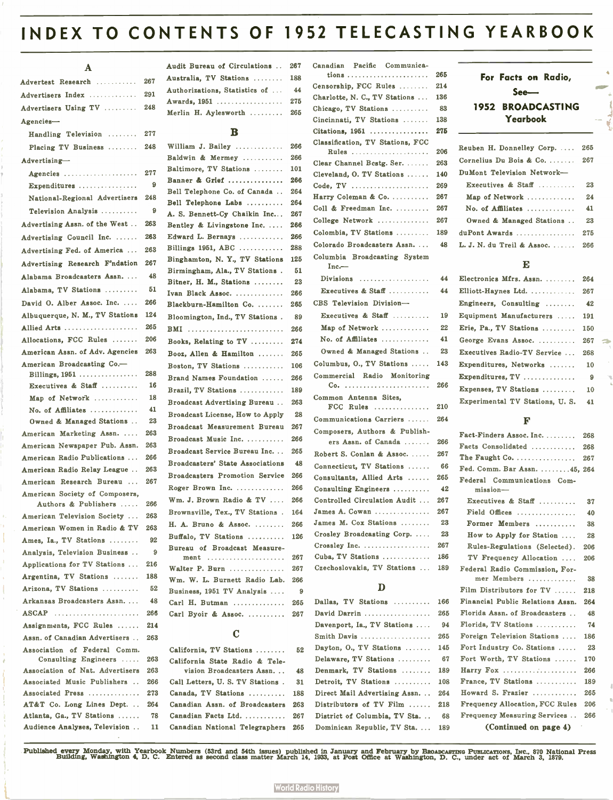# INDEX TO CONTENTS OF 1952 TELECASTING YEARBOOK

### A

| Advertest Research  267   |  |
|---------------------------|--|
| Advertisers Index  291    |  |
| Advertisers Using TV  248 |  |
| $A$ gencies-              |  |

| Handling Television                                  | 277      |
|------------------------------------------------------|----------|
| Placing TV Business                                  | 248      |
| Advertising-                                         |          |
| Agencies                                             | 277      |
| Expenditures $\ldots \ldots \ldots \ldots$           | 9        |
| National-Regional Advertisers                        | 248      |
| Television Analysis                                  | -9       |
| Advertising Assn. of the West                        | 263      |
| Advertising Council Inc.                             | 263      |
| Advertising Fed. of America                          | 263      |
| Advertising Research F'ndation                       | 267      |
| Alabama Broadcasters Assn                            | 48       |
| Alabama, TV Stations                                 | 51       |
| David O. Alber Assoc. Inc.                           | 266      |
| Albuquerque, N. M., TV Stations                      | 124      |
| Allied Arts                                          | 265      |
| Allocations, FCC Rules                               | 206      |
| American Assn. of Adv. Agencies                      | 263      |
| American Broadcasting Co.-                           |          |
| Billings, 1951                                       | 288      |
| Executives & Staff                                   | 16       |
| Map of Network                                       | 18       |
| No. of Affiliates                                    | 41<br>23 |
| Owned & Managed Stations<br>American Marketing Assn. | 263      |
| American Newspaper Pub. Assn.                        | 263      |
| American Radio Publications                          | 266      |
| American Radio Relay League                          | 263      |
| American Research Bureau                             | 267      |
| American Society of Composers,                       |          |
| Authors & Publishers                                 | 266      |
| American Television Society                          | 263      |
| American Women in Radio & TV                         | 263      |
| Ames, Ia., TV Stations                               | 92       |
| Analysis, Television Business                        | 9        |
| Applications for TV Stations                         | 216      |
| Argentina, TV Stations                               | 188      |
| Arizona, TV Stations                                 | 52       |
| Arkansas Broadcasters Assn                           | 48       |
| ASCAP                                                | 266      |
| Assignments, FCC Rules                               | 214      |
| Assn. of Canadian Advertisers                        | 263      |
| Association of Federal Comm.<br>Consulting Engineers | 263      |
| Association of Nat. Advertisers                      | 263      |
| Associated Music Publishers                          | 266      |
| Associated Press                                     | 273      |
| AT&T Co. Long Lines Dept.                            | 264      |
| Atlanta, Ga., TV Stations                            | 78       |
| Audience Analyses, Television                        | 11       |

| Audit Bureau of Circulations  267 |  |
|-----------------------------------|--|
| Australia. TV Stations  188       |  |
| Authorizations, Statistics of  44 |  |
| Awards, 1951  275                 |  |
| Merlin H. Aylesworth  265         |  |
|                                   |  |

 $\sim$   $\sim$ 

### $\mathbf{B}$

| 248  | William J. Bailey                              | 266      |
|------|------------------------------------------------|----------|
|      | Baldwin & Mermey                               | 266      |
| 277  | Baltimore, TV Stations                         | 101      |
| 9    | Banner & Grief                                 | 266      |
| 248  | Bell Telephone Co. of Canada                   | 264      |
|      | Bell Telephone Labs                            | 264      |
| 9    | A. S. Bennett-Cy Chaikin Inc                   | 267      |
| 263  | Bentley & Livingstone Inc.                     | 266      |
| 263  | Edward L. Bernays                              | 266      |
| 263  | Billings $1951$ , ABC                          | 288      |
| 267  | Binghamton, N. Y., TV Stations                 | 125      |
| 48   | Birmingham, Ala., TV Stations.                 | 51       |
| 51   | Bitner, H. M., Stations                        | 23       |
|      | Ivan Black Assoc.                              | 266      |
| 266  | Blackburn-Hamilton Co.                         | 265      |
| 124  | Bloomington, Ind., TV Stations.                | 89       |
| 265  | <b>BMI</b>                                     | 266      |
| 206  | Books, Relating to TV                          | 274      |
| 263  | Booz, Allen & Hamilton                         | 265      |
|      | Boston, TV Stations                            | 106      |
| 288  | Brand Names Foundation                         | 266      |
| 16   | Brazil, TV Stations                            | 189      |
| 18   | Broadcast Advertising Bureau                   | 263      |
| 41   | Broadcast License, How to Apply                | 28       |
| 23   | Broadcast Measurement Bureau                   | 267      |
| 263  | Broadcast Music Inc.                           | 266      |
| 263  | Broadcast Service Bureau Inc.                  | 265      |
| 266  | Broadcasters' State Associations               | 48       |
| 263  | <b>Broadcasters Promotion Service</b>          | 266      |
| 267  | Roger Brown Inc.                               | 266      |
|      |                                                |          |
| 266  | Wm. J. Brown Radio & TV                        | 266      |
| 263  | Brownsville, Tex., TV Stations.                | 164      |
| 263  | H. A. Bruno & Assoc.                           | 266      |
| 92   | Buffalo. TV Stations                           | 126      |
| 9    | Bureau of Broadcast Measure-                   |          |
| 216  | ment                                           | 267      |
| 188  | Walter P. Burn<br>Wm. W. L. Burnett Radio Lab. | 267      |
| 52   | Business, 1951 TV Analysis                     | 266<br>9 |
| 48   | Carl H. Butman                                 | 265      |
| 266  | Carl Byoir & Assoc.                            | 267      |
| 91.4 |                                                |          |

# $\mathbf C$

|     | California, TV Stations         | 52  |
|-----|---------------------------------|-----|
| 263 | California State Radio & Tele-  |     |
| 263 | vision Broadcasters Assn        | 48  |
| 266 | Call Letters, U.S. TV Stations. | 31  |
| 273 | Canada, TV Stations             | 188 |
| 264 | Canadian Assn. of Broadcasters  | 263 |
| 78  | Canadian Facts Ltd.             | 267 |
| 11  | Canadian National Telegraphers  | 265 |

| Canadian Pacific Communica-             |      |
|-----------------------------------------|------|
|                                         | 265  |
| Censorship. FCC Rules                   | 214  |
| Charlotte, N. C., TV Stations           | 136  |
| Chicago, TV Stations                    | -83  |
| Cincinnati, TV Stations                 | 138  |
| Citations, 1951                         | 275  |
| Classification, TV Stations, FCC        |      |
| Rules                                   | 206  |
| Clear Channel Bestg. Ser.               | 263  |
| Cleveland, O. TV Stations               | 140  |
| Code, TV                                | 269  |
| Harry Coleman & Co.                     | 267  |
| Coll & Freedman Inc.                    | 267  |
| College Network                         | 267  |
| Colombia, TV Stations                   | 189  |
| Colorado Broadcasters Assn              | 48   |
| Columbia Broadcasting System<br>$Inc -$ |      |
| Divisions                               | 44   |
| Executives & Staff                      | 44   |
| CBS Television Division-                |      |
| Executives & Staff $\ldots$             | 19   |
| Map of Network                          | 22   |
| No. of Affiliates                       | 41   |
| Owned & Managed Stations                | 23   |
| Columbus, O., TV Stations               | 143  |
| Commercial Radio Monitoring             |      |
|                                         | 266  |
| Common Antenna Sites,                   |      |
| $FCC$ Rules                             | 210  |
| Communications Carriers                 | 264  |
| Composers, Authors & Publish-           |      |
| ers Assn. of Canada                     | 266  |
| Robert S. Conlan & Assoc.               | 267  |
| Connecticut, TV Stations                | - 66 |
| Consultants, Allied Arts                | 265  |
| Consulting Engineers                    | 42   |
| Controlled Circulation Audit            | 267  |
| James A. Cowan                          | 267  |
| James M. Cox Stations                   | 23   |
| Crosley Broadcasting Corp.              | 23   |
| Crossley Inc.                           | 267  |
| Cuba, TV Stations                       | 186  |
| Czechoslovakia, TV Stations             | 189  |

# $\mathbf{D}$

| Dallas, TV Stations          | 16              |
|------------------------------|-----------------|
| David Darrin                 | 26              |
| Davenport, Ia., TV Stations  | 9               |
| Smith Davis                  | 26              |
| Dayton, O., TV Stations      | 14              |
| Delaware, TV Stations        | 6               |
| Denmark, TV Stations         | 18              |
| Detroit. TV Stations         | 10              |
| Direct Mail Advertising Assn | 26              |
| Distributors of TV Film      | 21              |
| District of Columbia, TV Sta | $6\phantom{1}6$ |
| Dominican Republic. TV Sta.  | 18              |

# For Facts on Radio, See-1952 BROADCASTING Yearbook

| Reuben H. Donnelley Corp         | 265 |
|----------------------------------|-----|
| Cornelius Du Bois & Co. $\ldots$ | 267 |
| DuMont Television Network-       |     |
| Executives & Staff $\ldots$      | 23  |
| Map of Network                   | 24  |
| No. of Affiliates                | 41  |
| Owned & Managed Stations         | 23  |
| $du$ Pont Awards                 | 275 |
| L. J. N. du Treil & Assoc.       | 266 |

### E

| Electronics Mfrs. Assn.            | 264 |
|------------------------------------|-----|
| Elliott-Haynes Ltd.                | 267 |
| Engineers, Consulting $\dots\dots$ | 42  |
| Equipment Manufacturers            | 191 |
| Erie, Pa., TV Stations $\ldots$    | 150 |
| George Evans Assoc.                | 267 |
| Executives Radio-TV Service        | 268 |
| Expenditures, Networks             | 10  |
| Expenditures, TV                   | 9   |
| Expenses, TV Stations              | 10  |
| Experimental TV Stations, U.S.     | 41  |

### $\mathbf{F}$

|     | Fact-Finders Assoc. Inc.                       | 268 |
|-----|------------------------------------------------|-----|
| 266 | Facts Consolidated                             | 268 |
| 267 | The Faught Co. $\dots \dots \dots \dots \dots$ | 267 |
| -66 | Fed. Comm. Bar Assn.  45, 264                  |     |
| 265 | Federal Communications Com-                    |     |
| 42  | mission—                                       |     |
| 267 | Executives & Staff $\ldots$                    | 37  |
| 267 | Field Offices                                  | 40  |
| 23  | Former Members                                 | 38  |
| 23  | How to Apply for Station                       | 28  |
| 267 | Rules-Regulations (Selected).                  | 206 |
| 186 | TV Frequency Allocation                        | 206 |
| 189 | Federal Radio Commission, For-                 |     |
|     | mer Members                                    | 38  |
|     | Film Distributors for $TV$                     | 218 |
| 166 | Financial Public Relations Assn.               | 264 |
| 265 | Florida Assn. of Broadcasters                  | 48  |
| 94  | Florida, TV Stations $\ldots$                  | 74  |
| 265 | Foreign Television Stations                    | 186 |
| 145 | Fort Industry Co. Stations                     | 23  |
| 67  | Fort Worth, TV Stations                        | 170 |
| 189 | Harry Fox                                      | 266 |
| 108 | France, TV Stations                            | 189 |
| 264 | Howard S. Frazier                              | 265 |
| 218 | <b>Frequency Allocation, FCC Rules</b>         | 206 |
| -68 | Frequency Measuring Services                   | 266 |
| 189 | (Continued on page 4)                          |     |
|     |                                                |     |

Published every Monday, with Yearbook Numbers (53rd and 54th issues) published in January and February by Baoapcasting Pusifications, Inc., 870 National Press<br>Building, Washington 4, D. C. Entered as second class matter Ma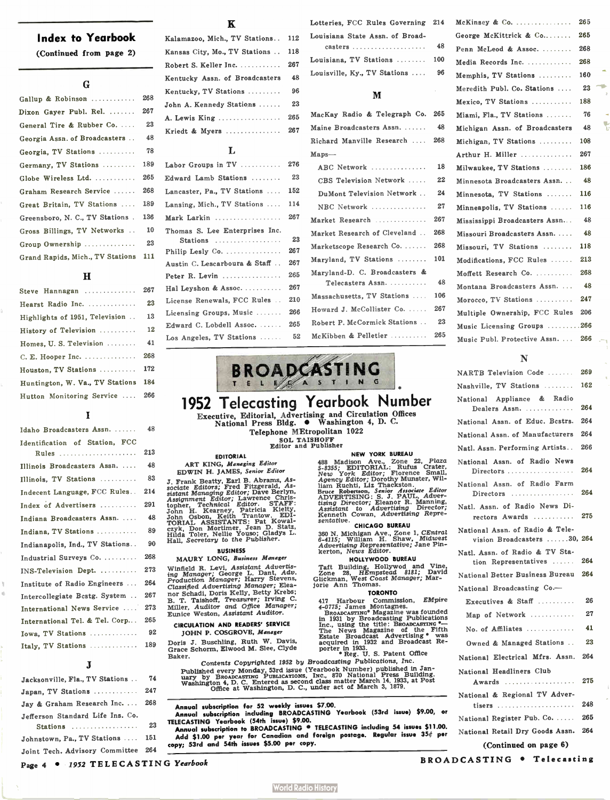# Index to Yearbook

(Continued from page 2)

### G

| Gallup & Robinson                    | 268 |
|--------------------------------------|-----|
| Dixon Gayer Publ. Rel.               | 267 |
| General Tire & Rubber Co.            | 23  |
| Georgia Assn. of Broadcasters        | 48  |
| Georgia, TV Stations                 | 78  |
| Germany, TV Stations                 | 189 |
| Globe Wireless Ltd.                  | 265 |
| Graham Research Service              | 268 |
| Great Britain, TV Stations           | 189 |
| Greensboro, N. C., TV Stations.      | 136 |
| Gross Billings, TV Networks          | 10  |
| Group Ownership                      | 23  |
| Grand Rapids, Mich., TV Stations 111 |     |

### H

| Steve Hannagan                  | 267 |
|---------------------------------|-----|
| Hearst Radio Inc.               | 23  |
| Highlights of 1951, Television  | 13  |
| History of Television           | 12  |
| Homes, U. S. Television         | 41  |
|                                 | 268 |
| Houston, TV Stations            | 172 |
| Huntington, W. Va., TV Stations | 184 |
| Hutton Monitoring Service       | 266 |

# $\mathbf I$

| Idaho Broadcasters Assn.        | 48  |
|---------------------------------|-----|
| Identification of Station, FCC  |     |
| Rules                           | 213 |
| Illinois Broadcasters Assn.     | 48  |
| Illinois, TV Stations           | 83  |
| Indecent Language, FCC Rules    | 214 |
| Index of Advertisers            | 291 |
| Indiana Broadcasters Assn.      | 48  |
| Indiana, TV Stations            | 89  |
| Indianapolis, Ind., TV Stations | 90  |
| Industrial Surveys Co.          | 268 |
| INS-Television Dept.            | 273 |
| Institute of Radio Engineers    | 264 |
| Intercollegiate Bestg. System   | 267 |
| International News Service      | 273 |
| International Tel. & Tel. Corp  | 265 |
| Iowa. TV Stations               | 92  |
| Italy, TV Stations              | 189 |

### $\bf J$

| Jacksonville, Fla., TV Stations    |     |
|------------------------------------|-----|
| Japan. TV Stations                 | 247 |
| Jay & Graham Research Inc          | 268 |
| Jefferson Standard Life Ins. Co.   |     |
| Stations                           | 23  |
| Johnstown, Pa., TV Stations  151   |     |
| Joint Tech. Advisory Committee 264 |     |

# $\overline{\mathbf{K}}$

| Kalamazoo, Mich., TV Stations  | 112 |
|--------------------------------|-----|
| Kansas City, Mo., TV Stations  | 118 |
| Robert S. Keller Inc.          | 267 |
| Kentucky Assn. of Broadcasters | 48  |
| Kentucky, TV Stations          | 96  |
| John A. Kennedy Stations       | 23  |
| A. Lewis King                  | 265 |
| Kriedt & Myers                 | 267 |
| T.                             |     |

| Labor Groups in $TV$           | 276 |
|--------------------------------|-----|
| Edward Lamb Stations           | 23  |
| Lancaster, Pa., TV Stations    | 152 |
| Lansing, Mich., TV Stations    | 114 |
| Mark Larkin                    | 267 |
| Thomas S. Lee Enterprises Inc. |     |
| Stations                       | 23  |
| Philip Lesly Co.               | 267 |
| Austin C. Lescarboura & Staff  | 267 |
| Peter R. Levin                 | 265 |
| Hal Leyshon & Assoc.           | 267 |
| License Renewals, FCC Rules    | 210 |
| Licensing Groups, Music        | 266 |
| Edward C. Lobdell Assoc.       | 265 |
| Los Angeles, TV Stations       | 52  |

EDITORIAL ART KING, Managing Editor EDWIN H. JAMES, Senior Editor

J. Frank Beatty, Earl B. Auranis, Assignment Editors; Fred Fitzgerald, Assignment Editor; Lawrence Christopher, Technology, 1978, 1978, 1978, 1978, 1978, 1978, 1978, 1978, 1978, 1978, 1978, 1978, 1978, 1978, 1978, 1978, 19

BUSINESS MAURY LONG, Business Manager Winneld R. Levi, Assistant Advertis<br>ing Manager; George L. Dant, Adv.<br>Production Manager; Harry Stevens, Classified Advertising Manager; Eleanor Schadi, Doris Kelly, Betty Krebs; B. T. Taishon, Treasurer, Irving C.<br>Miller, Auditor and Office Manager;<br>Eunice Weston, Assistant Auditor. CIRCULATION AND READERS' SERVICE JOHN P. COSGROVE, Manager Doris J. Buschling, Ruth W. Davis, Grace Schorm, Elwood M. Slee, Clyde

Baker.

Lotteries, FCC Rules Governing 214 Louisiana State Assn. of Broadcasters ...................... 48

| Louisiana, TV Stations  100  |  |  |    |
|------------------------------|--|--|----|
| Louisville, Ky., TV Stations |  |  | 96 |

### M

| MacKay Radio & Telegraph Co.  | 265 |
|-------------------------------|-----|
| Maine Broadcasters Assn.      | 48  |
| Richard Manville Research     | 268 |
| $Maps$ —                      |     |
| ABC Network                   | 18  |
| CBS Television Network        | 22  |
| DuMont Television Network     | 24  |
| NBC Network                   | 27  |
| Market Research               | 267 |
| Market Research of Cleveland  | 268 |
| Marketscope Research Co.      | 268 |
| Maryland, TV Stations         | 101 |
| Maryland-D. C. Broadcasters & |     |
| Telecasters Assn.             | 48  |
| Massachusetts, TV Stations    | 106 |
| Howard J. McCollister Co.     | 267 |
| Robert P. McCormick Stations  | 23  |
| McKibben & Pelletier          | 265 |
|                               |     |



# 1952 Telecasting Yearbook Number

Executive, Editorial, Advertising and Circulation Offices National Press Bldg. • Washington 4, D. C. Telephone MEtropolitan 1022

SOL TAISHOFF Editor and Publisher

NEW YORK BUREAU 488 Madison Ave., Zone Zz, Puzar<br>5-3355; EDITORIAL: Rufus Crater,<br>New York Editor; Dorothy Munster, Will<br>Agency Editor; Dorothy Munster, Will<br>Ham Ruchti, Liz Thackston.<br>Hame Robertson, Senior Associate Editor<br>ADVERTISING:

\*

360 N. Michigan Ave., Zone 1, CEntral 6-4115; William H. Shaw, Midwest Advertising Representative; Jane Pin-kerton, News Editor.

### HOLLYWOOD BUREAU

Tait Building, Hollywod and Vine, Zone 28, HEmpstead 8181; David Glickman, West Coast Manager; Mar-jorie Ann Thomas.

### TORONTO

417 Harbour Commission, *Empire*<br>4-0775; James Montagnes.<br>BROADCASTING<sup>\*</sup> Magazine was founded<br>in 1931 by Broadcasting Publications<br>Inc., using the title: BROADCASTING<sup>\*</sup><br>The News Magazine of the Fifth<br>Estate Broadcast Ad

Contents Copyrighted 1952 by Broundaring Published in January by BROADCOAT (Vanday, 53rd issue (Yearbook Number) published in January by BROADCASTING PUBLICATIONS, INC., 870 National Press Building.<br>Washington 4, D. C. Ent Broadcasting Publications, Inc.

# Annual subscription for 52 weekly issues \$7.00. Annual subscription including BROADCASTING Yearbook (53rd issue) \$9.00, or

TELECASTING Yearbook (كام العدد ) 37.00.<br>Annual subscription to BROADCASTING including 54 issues \$11.00.<br>Add \$1.00 per year for Canadian and foreign postage. Regular issue 35¢ per

copy; 53rd and 54th issues \$5.00 per copy.

| $McKinsey & Co. \ldots \ldots \ldots \ldots$ | 265 |
|----------------------------------------------|-----|
| George McKittrick & Co                       | 265 |
| Penn McLeod & Assoc.                         | 268 |
| Media Records Inc.                           | 268 |
| Memphis, TV Stations                         | 160 |
| Meredith Publ. Co. Stations                  | 23  |
| Mexico, TV Stations                          | 188 |
| Miami, Fla., TV Stations                     | 76  |
| Michigan Assn. of Broadcasters               | 48  |
| Michigan, TV Stations                        | 108 |
| Arthur H. Miller                             | 267 |
| Milwaukee, TV Stations                       | 186 |
| Minnesota Broadcasters Assn                  | -48 |
| Minnesota, TV Stations                       | 116 |
| Minneapolis, TV Stations                     | 116 |
| Mississippi Broadcasters Assn                | 48  |
| Missouri Broadcasters Assn.                  | 48  |
| Missouri, TV Stations                        | 118 |
| Modifications, FCC Rules                     | 213 |
| Moffett Research Co.                         | 268 |
| Montana Broadcasters Assn.                   | -48 |
| Morocco. TV Stations                         | 247 |
| Multiple Ownership, FCC Rules                | 206 |
| Music Licensing Groups 266                   |     |
| Music Publ. Protective Assn                  | 266 |

# N

| NARTB Television Code                                                      | 269 |
|----------------------------------------------------------------------------|-----|
| Nashville, TV Stations                                                     | 162 |
| National Appliance & Radio                                                 |     |
| Dealers Assn.                                                              | 264 |
| National Assn. of Educ. Bestrs.                                            | 264 |
| National Assn. of Manufacturers                                            | 264 |
| Natl. Assn. Performing Artists                                             | 266 |
| National Assn. of Radio News<br>Directors                                  | 264 |
| National Assn. of Radio Farm<br>$Directions \dots \dots \dots \dots \dots$ | 264 |
| Natl. Assn. of Radio News Di-<br>rectors Awards                            | 275 |
| National Assn. of Radio & Tele-<br>vision Broadcasters 30, 264             |     |
| Natl. Assn. of Radio & TV Sta-<br>tion Representatives                     | 264 |
| National Better Business Bureau                                            | 264 |
| National Broadcasting Co.-                                                 |     |
| Executives & Staff $\ldots$                                                | 26  |
| Map of Network                                                             | 27  |
| No. of Affiliates $\dots\dots\dots\dots$                                   | 41  |
| Owned & Managed Stations                                                   | 23  |
| National Electrical Mfrs. Assn.                                            | 264 |
| National Headliners Club                                                   |     |
| Awards                                                                     | 275 |
| National & Regional TV Adver-                                              |     |
| tisers                                                                     | 248 |
| National Register Pub. Co.                                                 | 265 |
| National Retail Dry Goods Assn.                                            | 264 |
| (Continued on page 6)                                                      |     |